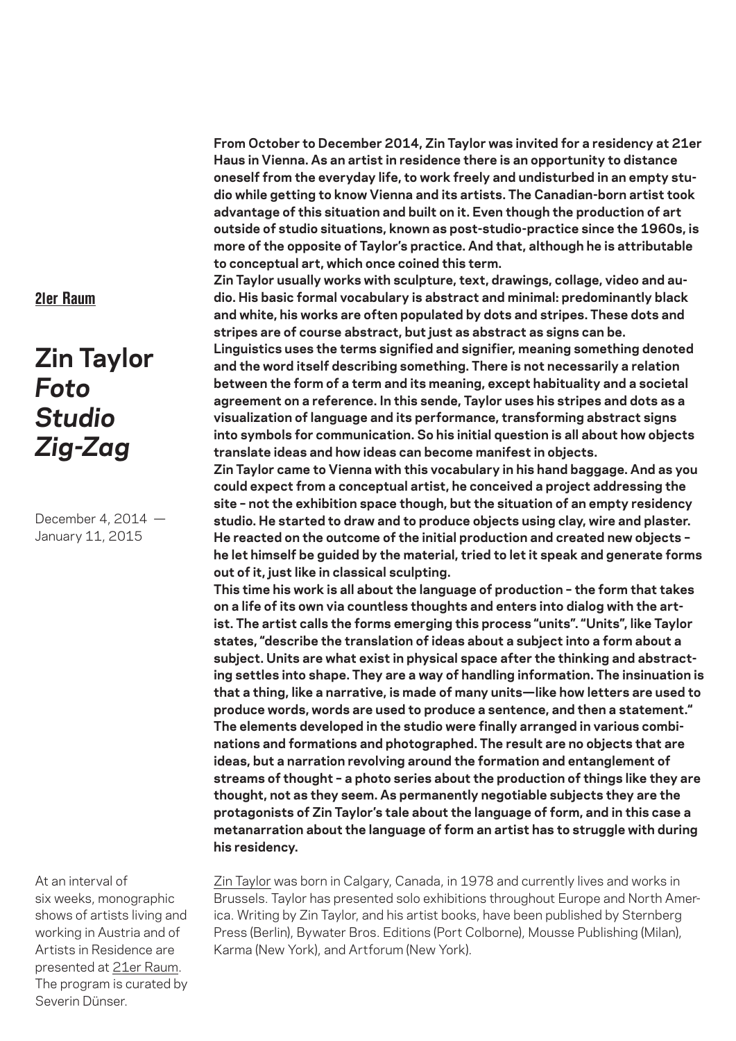**From October to December 2014, Zin Taylor was invited for a residency at 21er Haus in Vienna. As an artist in residence there is an opportunity to distance oneself from the everyday life, to work freely and undisturbed in an empty studio while getting to know Vienna and its artists. The Canadian-born artist took advantage of this situation and built on it. Even though the production of art outside of studio situations, known as post-studio-practice since the 1960s, is more of the opposite of Taylor's practice. And that, although he is attributable to conceptual art, which once coined this term.**

**Zin Taylor usually works with sculpture, text, drawings, collage, video and audio. His basic formal vocabulary is abstract and minimal: predominantly black and white, his works are often populated by dots and stripes. These dots and stripes are of course abstract, but just as abstract as signs can be.**

**Linguistics uses the terms signified and signifier, meaning something denoted and the word itself describing something. There is not necessarily a relation between the form of a term and its meaning, except habituality and a societal agreement on a reference. In this sende, Taylor uses his stripes and dots as a visualization of language and its performance, transforming abstract signs into symbols for communication. So his initial question is all about how objects translate ideas and how ideas can become manifest in objects.**

**Zin Taylor came to Vienna with this vocabulary in his hand baggage. And as you could expect from a conceptual artist, he conceived a project addressing the site – not the exhibition space though, but the situation of an empty residency studio. He started to draw and to produce objects using clay, wire and plaster. He reacted on the outcome of the initial production and created new objects – he let himself be guided by the material, tried to let it speak and generate forms out of it, just like in classical sculpting.**

**This time his work is all about the language of production – the form that takes on a life of its own via countless thoughts and enters into dialog with the artist. The artist calls the forms emerging this process "units". "Units", like Taylor states, "describe the translation of ideas about a subject into a form about a subject. Units are what exist in physical space after the thinking and abstracting settles into shape. They are a way of handling information. The insinuation is that a thing, like a narrative, is made of many units—like how letters are used to produce words, words are used to produce a sentence, and then a statement." The elements developed in the studio were finally arranged in various combinations and formations and photographed. The result are no objects that are ideas, but a narration revolving around the formation and entanglement of streams of thought – a photo series about the production of things like they are thought, not as they seem. As permanently negotiable subjects they are the protagonists of Zin Taylor's tale about the language of form, and in this case a metanarration about the language of form an artist has to struggle with during his residency.**

At an interval of six weeks, monographic shows of artists living and working in Austria and of Artists in Residence are presented at 21er Raum. The program is curated by Severin Dünser.

Zin Taylor was born in Calgary, Canada, in 1978 and currently lives and works in Brussels. Taylor has presented solo exhibitions throughout Europe and North America. Writing by Zin Taylor, and his artist books, have been published by Sternberg Press (Berlin), Bywater Bros. Editions (Port Colborne), Mousse Publishing (Milan), Karma (New York), and Artforum (New York).

## 21er Raum

## **Zin Taylor** *Foto Studio Zig-Zag*

December 4, 2014 — January 11, 2015